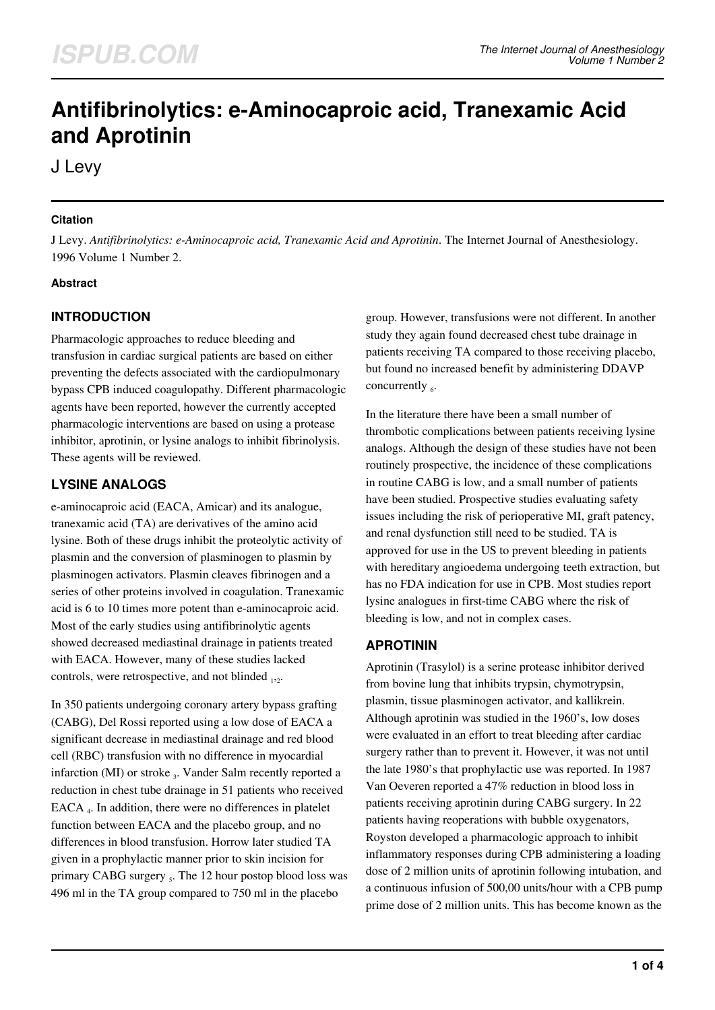# **Antifibrinolytics: e-Aminocaproic acid, Tranexamic Acid and Aprotinin**

J Levy

## **Citation**

J Levy. *Antifibrinolytics: e-Aminocaproic acid, Tranexamic Acid and Aprotinin*. The Internet Journal of Anesthesiology. 1996 Volume 1 Number 2.

#### **Abstract**

# **INTRODUCTION**

Pharmacologic approaches to reduce bleeding and transfusion in cardiac surgical patients are based on either preventing the defects associated with the cardiopulmonary bypass CPB induced coagulopathy. Different pharmacologic agents have been reported, however the currently accepted pharmacologic interventions are based on using a protease inhibitor, aprotinin, or lysine analogs to inhibit fibrinolysis. These agents will be reviewed.

# **LYSINE ANALOGS**

e-aminocaproic acid (EACA, Amicar) and its analogue, tranexamic acid (TA) are derivatives of the amino acid lysine. Both of these drugs inhibit the proteolytic activity of plasmin and the conversion of plasminogen to plasmin by plasminogen activators. Plasmin cleaves fibrinogen and a series of other proteins involved in coagulation. Tranexamic acid is 6 to 10 times more potent than e-aminocaproic acid. Most of the early studies using antifibrinolytic agents showed decreased mediastinal drainage in patients treated with EACA. However, many of these studies lacked controls, were retrospective, and not blinded  $_{12}$ .

In 350 patients undergoing coronary artery bypass grafting (CABG), Del Rossi reported using a low dose of EACA a significant decrease in mediastinal drainage and red blood cell (RBC) transfusion with no difference in myocardial infarction (MI) or stroke  $_3$ . Vander Salm recently reported a reduction in chest tube drainage in 51 patients who received EACA <sub>4</sub>. In addition, there were no differences in platelet function between EACA and the placebo group, and no differences in blood transfusion. Horrow later studied TA given in a prophylactic manner prior to skin incision for primary CABG surgery 5. The 12 hour postop blood loss was 496 ml in the TA group compared to 750 ml in the placebo

group. However, transfusions were not different. In another study they again found decreased chest tube drainage in patients receiving TA compared to those receiving placebo, but found no increased benefit by administering DDAVP concurrently  $_6$ .

In the literature there have been a small number of thrombotic complications between patients receiving lysine analogs. Although the design of these studies have not been routinely prospective, the incidence of these complications in routine CABG is low, and a small number of patients have been studied. Prospective studies evaluating safety issues including the risk of perioperative MI, graft patency, and renal dysfunction still need to be studied. TA is approved for use in the US to prevent bleeding in patients with hereditary angioedema undergoing teeth extraction, but has no FDA indication for use in CPB. Most studies report lysine analogues in first-time CABG where the risk of bleeding is low, and not in complex cases.

## **APROTININ**

Aprotinin (Trasylol) is a serine protease inhibitor derived from bovine lung that inhibits trypsin, chymotrypsin, plasmin, tissue plasminogen activator, and kallikrein. Although aprotinin was studied in the 1960's, low doses were evaluated in an effort to treat bleeding after cardiac surgery rather than to prevent it. However, it was not until the late 1980's that prophylactic use was reported. In 1987 Van Oeveren reported a 47% reduction in blood loss in patients receiving aprotinin during CABG surgery. In 22 patients having reoperations with bubble oxygenators, Royston developed a pharmacologic approach to inhibit inflammatory responses during CPB administering a loading dose of 2 million units of aprotinin following intubation, and a continuous infusion of 500,00 units/hour with a CPB pump prime dose of 2 million units. This has become known as the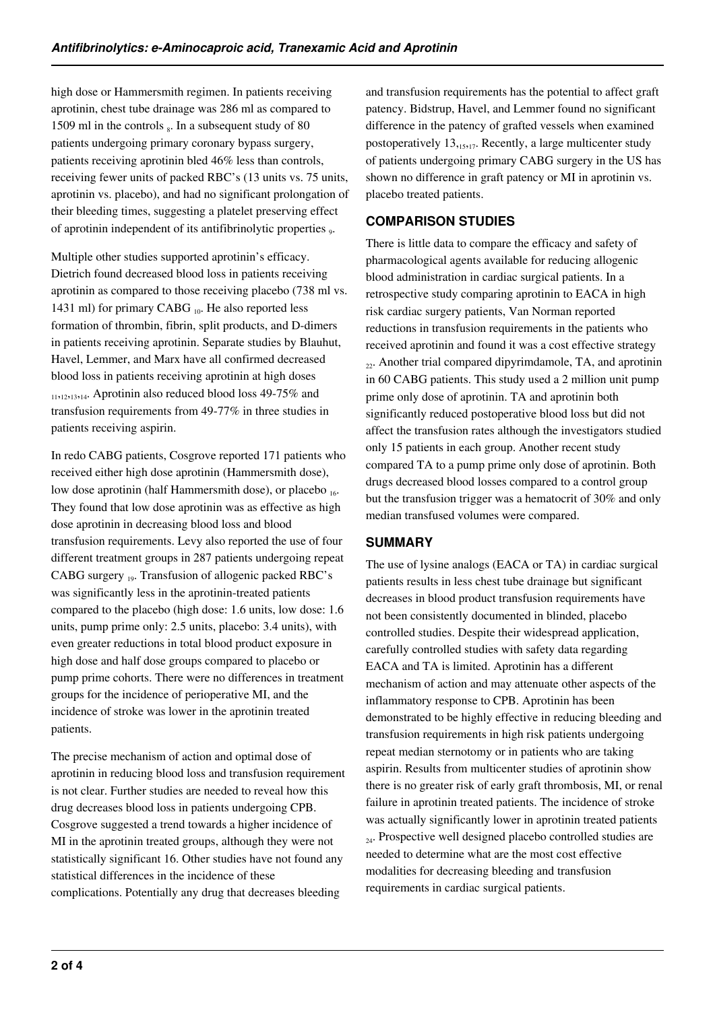high dose or Hammersmith regimen. In patients receiving aprotinin, chest tube drainage was 286 ml as compared to 1509 ml in the controls  $_8$ . In a subsequent study of 80 patients undergoing primary coronary bypass surgery, patients receiving aprotinin bled 46% less than controls, receiving fewer units of packed RBC's (13 units vs. 75 units, aprotinin vs. placebo), and had no significant prolongation of their bleeding times, suggesting a platelet preserving effect of aprotinin independent of its antifibrinolytic properties <sub>9</sub>.

Multiple other studies supported aprotinin's efficacy. Dietrich found decreased blood loss in patients receiving aprotinin as compared to those receiving placebo (738 ml vs. 1431 ml) for primary CABG  $_{10}$ . He also reported less formation of thrombin, fibrin, split products, and D-dimers in patients receiving aprotinin. Separate studies by Blauhut, Havel, Lemmer, and Marx have all confirmed decreased blood loss in patients receiving aprotinin at high doses <sup>11</sup>,12,13,14. Aprotinin also reduced blood loss 49-75% and transfusion requirements from 49-77% in three studies in patients receiving aspirin.

In redo CABG patients, Cosgrove reported 171 patients who received either high dose aprotinin (Hammersmith dose), low dose aprotinin (half Hammersmith dose), or placebo 16. They found that low dose aprotinin was as effective as high dose aprotinin in decreasing blood loss and blood transfusion requirements. Levy also reported the use of four different treatment groups in 287 patients undergoing repeat CABG surgery 19. Transfusion of allogenic packed RBC's was significantly less in the aprotinin-treated patients compared to the placebo (high dose: 1.6 units, low dose: 1.6 units, pump prime only: 2.5 units, placebo: 3.4 units), with even greater reductions in total blood product exposure in high dose and half dose groups compared to placebo or pump prime cohorts. There were no differences in treatment groups for the incidence of perioperative MI, and the incidence of stroke was lower in the aprotinin treated patients.

The precise mechanism of action and optimal dose of aprotinin in reducing blood loss and transfusion requirement is not clear. Further studies are needed to reveal how this drug decreases blood loss in patients undergoing CPB. Cosgrove suggested a trend towards a higher incidence of MI in the aprotinin treated groups, although they were not statistically significant 16. Other studies have not found any statistical differences in the incidence of these complications. Potentially any drug that decreases bleeding

and transfusion requirements has the potential to affect graft patency. Bidstrup, Havel, and Lemmer found no significant difference in the patency of grafted vessels when examined postoperatively  $13,15,17$ . Recently, a large multicenter study of patients undergoing primary CABG surgery in the US has shown no difference in graft patency or MI in aprotinin vs. placebo treated patients.

# **COMPARISON STUDIES**

There is little data to compare the efficacy and safety of pharmacological agents available for reducing allogenic blood administration in cardiac surgical patients. In a retrospective study comparing aprotinin to EACA in high risk cardiac surgery patients, Van Norman reported reductions in transfusion requirements in the patients who received aprotinin and found it was a cost effective strategy <sup>22</sup>. Another trial compared dipyrimdamole, TA, and aprotinin in 60 CABG patients. This study used a 2 million unit pump prime only dose of aprotinin. TA and aprotinin both significantly reduced postoperative blood loss but did not affect the transfusion rates although the investigators studied only 15 patients in each group. Another recent study compared TA to a pump prime only dose of aprotinin. Both drugs decreased blood losses compared to a control group but the transfusion trigger was a hematocrit of 30% and only median transfused volumes were compared.

## **SUMMARY**

The use of lysine analogs (EACA or TA) in cardiac surgical patients results in less chest tube drainage but significant decreases in blood product transfusion requirements have not been consistently documented in blinded, placebo controlled studies. Despite their widespread application, carefully controlled studies with safety data regarding EACA and TA is limited. Aprotinin has a different mechanism of action and may attenuate other aspects of the inflammatory response to CPB. Aprotinin has been demonstrated to be highly effective in reducing bleeding and transfusion requirements in high risk patients undergoing repeat median sternotomy or in patients who are taking aspirin. Results from multicenter studies of aprotinin show there is no greater risk of early graft thrombosis, MI, or renal failure in aprotinin treated patients. The incidence of stroke was actually significantly lower in aprotinin treated patients  $_{24}$ . Prospective well designed placebo controlled studies are needed to determine what are the most cost effective modalities for decreasing bleeding and transfusion requirements in cardiac surgical patients.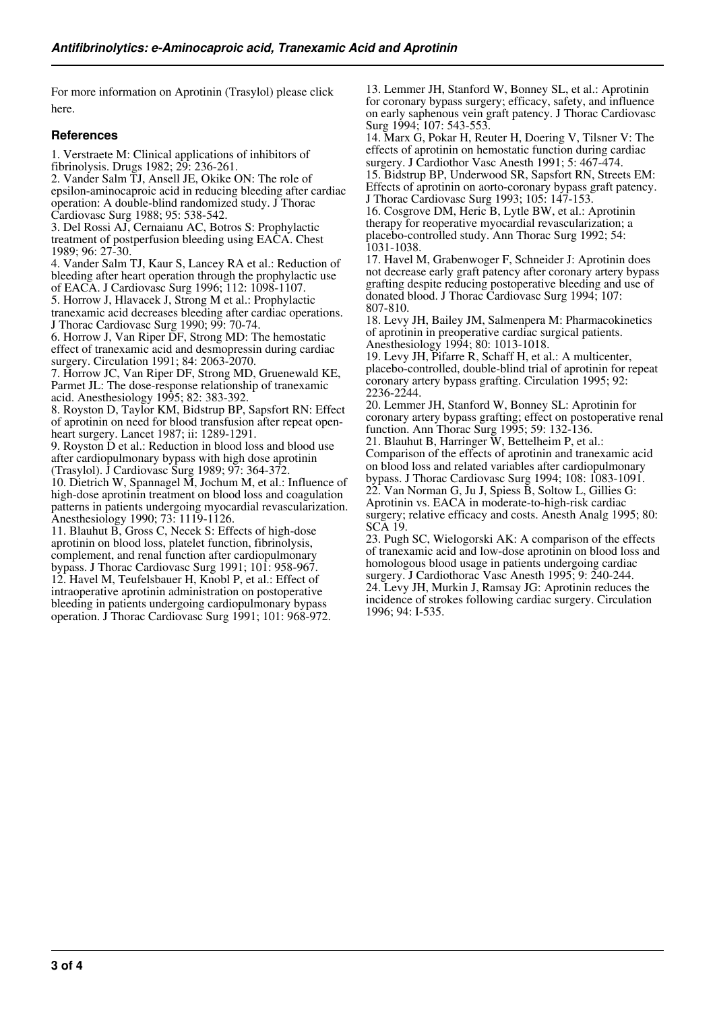For more information on Aprotinin (Trasylol) please click here.

#### **References**

1. Verstraete M: Clinical applications of inhibitors of fibrinolysis. Drugs 1982; 29: 236-261.

2. Vander Salm TJ, Ansell JE, Okike ON: The role of epsilon-aminocaproic acid in reducing bleeding after cardiac operation: A double-blind randomized study. J Thorac Cardiovasc Surg 1988; 95: 538-542.

3. Del Rossi AJ, Cernaianu AC, Botros S: Prophylactic treatment of postperfusion bleeding using EACA. Chest 1989; 96: 27-30.

4. Vander Salm TJ, Kaur S, Lancey RA et al.: Reduction of bleeding after heart operation through the prophylactic use of EACA. J Cardiovasc Surg 1996; 112: 1098-1107. 5. Horrow J, Hlavacek J, Strong M et al.: Prophylactic tranexamic acid decreases bleeding after cardiac operations. J Thorac Cardiovasc Surg 1990; 99: 70-74.

6. Horrow J, Van Riper DF, Strong MD: The hemostatic effect of tranexamic acid and desmopressin during cardiac surgery. Circulation 1991; 84: 2063-2070.

7. Horrow JC, Van Riper DF, Strong MD, Gruenewald KE, Parmet JL: The dose-response relationship of tranexamic acid. Anesthesiology 1995; 82: 383-392.

8. Royston D, Taylor KM, Bidstrup BP, Sapsfort RN: Effect of aprotinin on need for blood transfusion after repeat openheart surgery. Lancet 1987; ii: 1289-1291.

9. Royston D et al.: Reduction in blood loss and blood use after cardiopulmonary bypass with high dose aprotinin (Trasylol). J Cardiovasc Surg 1989; 97: 364-372.

10. Dietrich W, Spannagel M, Jochum M, et al.: Influence of high-dose aprotinin treatment on blood loss and coagulation patterns in patients undergoing myocardial revascularization. Anesthesiology 1990; 73: 1119-1126.

11. Blauhut B, Gross C, Necek S: Effects of high-dose aprotinin on blood loss, platelet function, fibrinolysis, complement, and renal function after cardiopulmonary bypass. J Thorac Cardiovasc Surg 1991; 101: 958-967. 12. Havel M, Teufelsbauer H, Knobl P, et al.: Effect of intraoperative aprotinin administration on postoperative bleeding in patients undergoing cardiopulmonary bypass operation. J Thorac Cardiovasc Surg 1991; 101: 968-972.

13. Lemmer JH, Stanford W, Bonney SL, et al.: Aprotinin for coronary bypass surgery; efficacy, safety, and influence on early saphenous vein graft patency. J Thorac Cardiovasc Surg 1994; 107: 543-553.

14. Marx G, Pokar H, Reuter H, Doering V, Tilsner V: The effects of aprotinin on hemostatic function during cardiac surgery. J Cardiothor Vasc Anesth 1991; 5: 467-474.

15. Bidstrup BP, Underwood SR, Sapsfort RN, Streets EM: Effects of aprotinin on aorto-coronary bypass graft patency. J Thorac Cardiovasc Surg 1993; 105: 147-153.

16. Cosgrove DM, Heric B, Lytle BW, et al.: Aprotinin therapy for reoperative myocardial revascularization; a placebo-controlled study. Ann Thorac Surg 1992; 54: 1031-1038.

17. Havel M, Grabenwoger F, Schneider J: Aprotinin does not decrease early graft patency after coronary artery bypass grafting despite reducing postoperative bleeding and use of donated blood. J Thorac Cardiovasc Surg 1994; 107: 807-810.

18. Levy JH, Bailey JM, Salmenpera M: Pharmacokinetics of aprotinin in preoperative cardiac surgical patients. Anesthesiology 1994; 80: 1013-1018.

19. Levy JH, Pifarre R, Schaff H, et al.: A multicenter, placebo-controlled, double-blind trial of aprotinin for repeat coronary artery bypass grafting. Circulation 1995; 92: 2236-2244.

20. Lemmer JH, Stanford W, Bonney SL: Aprotinin for coronary artery bypass grafting; effect on postoperative renal function. Ann Thorac Surg 1995; 59: 132-136.

21. Blauhut B, Harringer W, Bettelheim P, et al.: Comparison of the effects of aprotinin and tranexamic acid on blood loss and related variables after cardiopulmonary bypass. J Thorac Cardiovasc Surg 1994; 108: 1083-1091. 22. Van Norman G, Ju J, Spiess B, Soltow L, Gillies G: Aprotinin vs. EACA in moderate-to-high-risk cardiac surgery; relative efficacy and costs. Anesth Analg 1995; 80: SCA 19.

23. Pugh SC, Wielogorski AK: A comparison of the effects of tranexamic acid and low-dose aprotinin on blood loss and homologous blood usage in patients undergoing cardiac surgery. J Cardiothorac Vasc Anesth 1995; 9: 240-244.

24. Levy JH, Murkin J, Ramsay JG: Aprotinin reduces the incidence of strokes following cardiac surgery. Circulation 1996; 94: I-535.